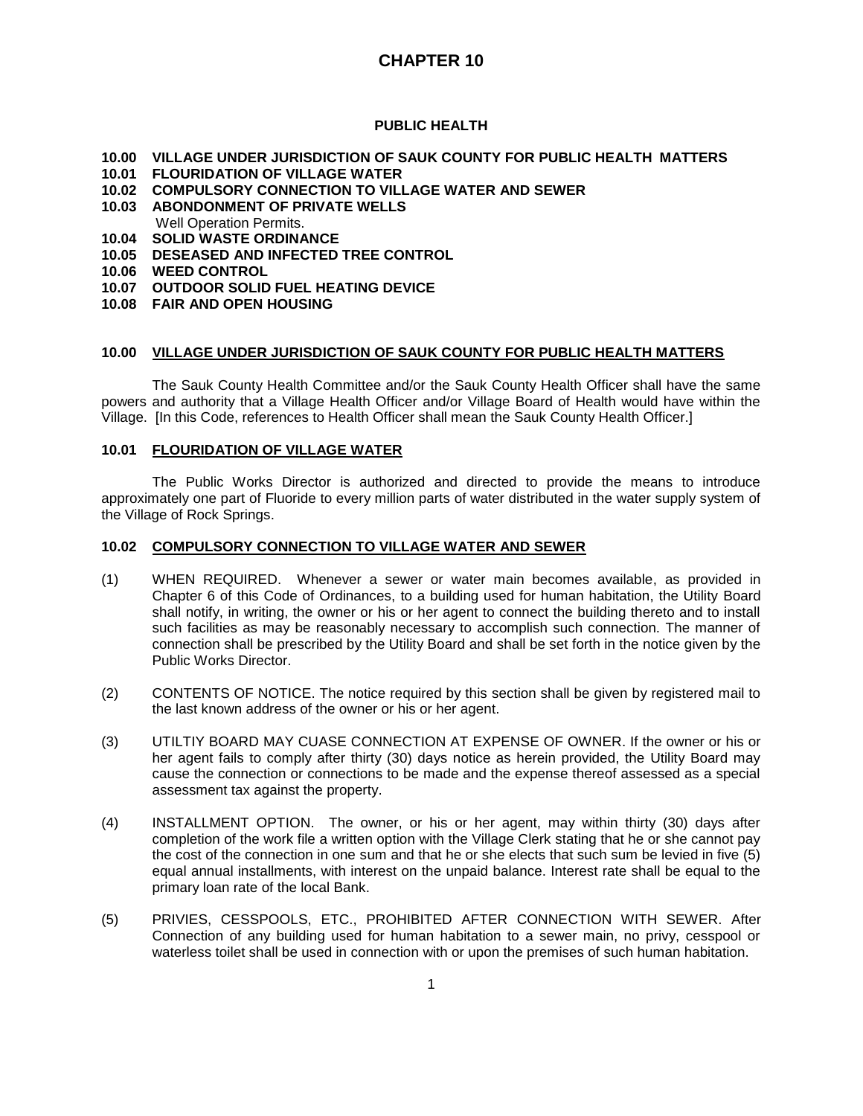## **PUBLIC HEALTH**

- **10.00 VILLAGE UNDER JURISDICTION OF SAUK COUNTY FOR PUBLIC HEALTH MATTERS**
- **10.01 FLOURIDATION OF VILLAGE WATER**
- **10.02 COMPULSORY CONNECTION TO VILLAGE WATER AND SEWER**
- **10.03 ABONDONMENT OF PRIVATE WELLS**
- Well Operation Permits.
- **10.04 SOLID WASTE ORDINANCE 10.05 DESEASED AND INFECTED TREE CONTROL**
- **10.06 WEED CONTROL**
- 
- **10.07 OUTDOOR SOLID FUEL HEATING DEVICE**
- **10.08 FAIR AND OPEN HOUSING**

## **10.00 VILLAGE UNDER JURISDICTION OF SAUK COUNTY FOR PUBLIC HEALTH MATTERS**

The Sauk County Health Committee and/or the Sauk County Health Officer shall have the same powers and authority that a Village Health Officer and/or Village Board of Health would have within the Village. [In this Code, references to Health Officer shall mean the Sauk County Health Officer.]

#### **10.01 FLOURIDATION OF VILLAGE WATER**

The Public Works Director is authorized and directed to provide the means to introduce approximately one part of Fluoride to every million parts of water distributed in the water supply system of the Village of Rock Springs.

#### **10.02 COMPULSORY CONNECTION TO VILLAGE WATER AND SEWER**

- (1) WHEN REQUIRED. Whenever a sewer or water main becomes available, as provided in Chapter 6 of this Code of Ordinances, to a building used for human habitation, the Utility Board shall notify, in writing, the owner or his or her agent to connect the building thereto and to install such facilities as may be reasonably necessary to accomplish such connection. The manner of connection shall be prescribed by the Utility Board and shall be set forth in the notice given by the Public Works Director.
- (2) CONTENTS OF NOTICE. The notice required by this section shall be given by registered mail to the last known address of the owner or his or her agent.
- (3) UTILTIY BOARD MAY CUASE CONNECTION AT EXPENSE OF OWNER. If the owner or his or her agent fails to comply after thirty (30) days notice as herein provided, the Utility Board may cause the connection or connections to be made and the expense thereof assessed as a special assessment tax against the property.
- (4) INSTALLMENT OPTION. The owner, or his or her agent, may within thirty (30) days after completion of the work file a written option with the Village Clerk stating that he or she cannot pay the cost of the connection in one sum and that he or she elects that such sum be levied in five (5) equal annual installments, with interest on the unpaid balance. Interest rate shall be equal to the primary loan rate of the local Bank.
- (5) PRIVIES, CESSPOOLS, ETC., PROHIBITED AFTER CONNECTION WITH SEWER. After Connection of any building used for human habitation to a sewer main, no privy, cesspool or waterless toilet shall be used in connection with or upon the premises of such human habitation.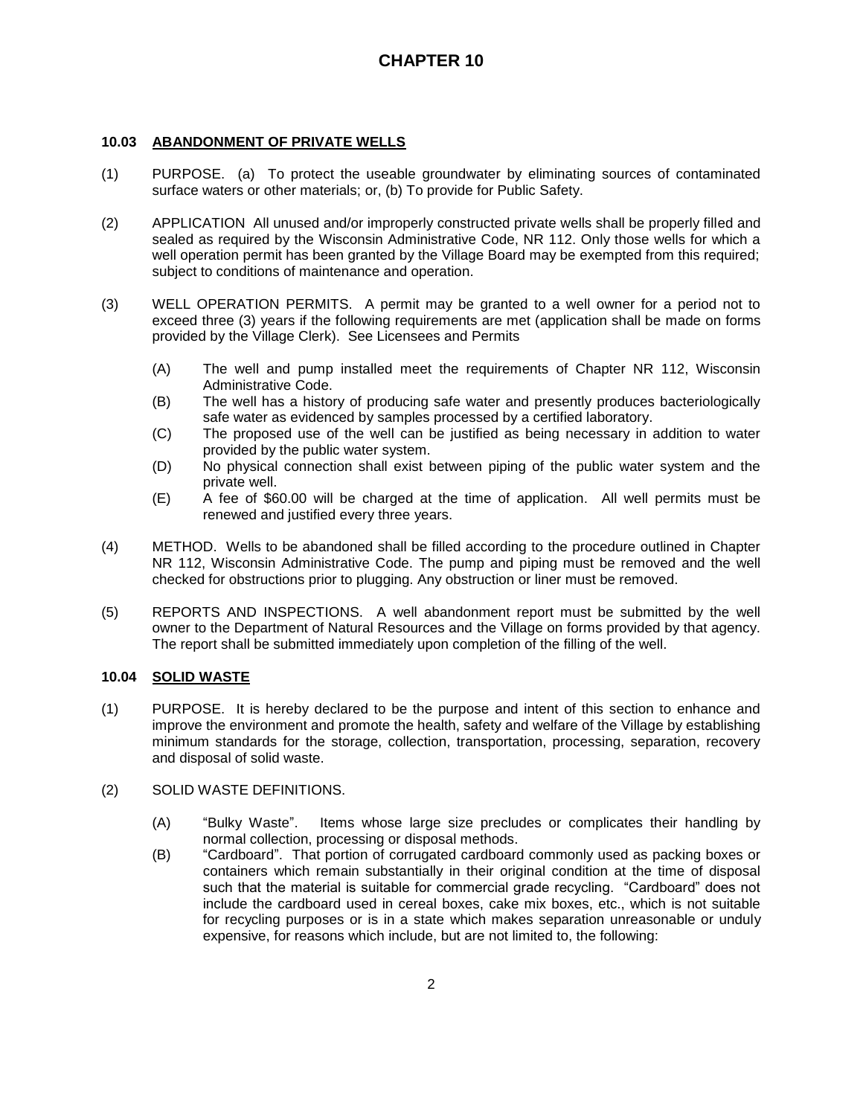### **10.03 ABANDONMENT OF PRIVATE WELLS**

- (1) PURPOSE. (a) To protect the useable groundwater by eliminating sources of contaminated surface waters or other materials; or, (b) To provide for Public Safety.
- (2) APPLICATION All unused and/or improperly constructed private wells shall be properly filled and sealed as required by the Wisconsin Administrative Code, NR 112. Only those wells for which a well operation permit has been granted by the Village Board may be exempted from this required; subject to conditions of maintenance and operation.
- (3) WELL OPERATION PERMITS. A permit may be granted to a well owner for a period not to exceed three (3) years if the following requirements are met (application shall be made on forms provided by the Village Clerk). See Licensees and Permits
	- (A) The well and pump installed meet the requirements of Chapter NR 112, Wisconsin Administrative Code.
	- (B) The well has a history of producing safe water and presently produces bacteriologically safe water as evidenced by samples processed by a certified laboratory.
	- (C) The proposed use of the well can be justified as being necessary in addition to water provided by the public water system.
	- (D) No physical connection shall exist between piping of the public water system and the private well.
	- (E) A fee of \$60.00 will be charged at the time of application. All well permits must be renewed and justified every three years.
- (4) METHOD. Wells to be abandoned shall be filled according to the procedure outlined in Chapter NR 112, Wisconsin Administrative Code. The pump and piping must be removed and the well checked for obstructions prior to plugging. Any obstruction or liner must be removed.
- (5) REPORTS AND INSPECTIONS. A well abandonment report must be submitted by the well owner to the Department of Natural Resources and the Village on forms provided by that agency. The report shall be submitted immediately upon completion of the filling of the well.

### **10.04 SOLID WASTE**

- (1) PURPOSE. It is hereby declared to be the purpose and intent of this section to enhance and improve the environment and promote the health, safety and welfare of the Village by establishing minimum standards for the storage, collection, transportation, processing, separation, recovery and disposal of solid waste.
- (2) SOLID WASTE DEFINITIONS.
	- (A) "Bulky Waste". Items whose large size precludes or complicates their handling by normal collection, processing or disposal methods.
	- (B) "Cardboard". That portion of corrugated cardboard commonly used as packing boxes or containers which remain substantially in their original condition at the time of disposal such that the material is suitable for commercial grade recycling. "Cardboard" does not include the cardboard used in cereal boxes, cake mix boxes, etc., which is not suitable for recycling purposes or is in a state which makes separation unreasonable or unduly expensive, for reasons which include, but are not limited to, the following: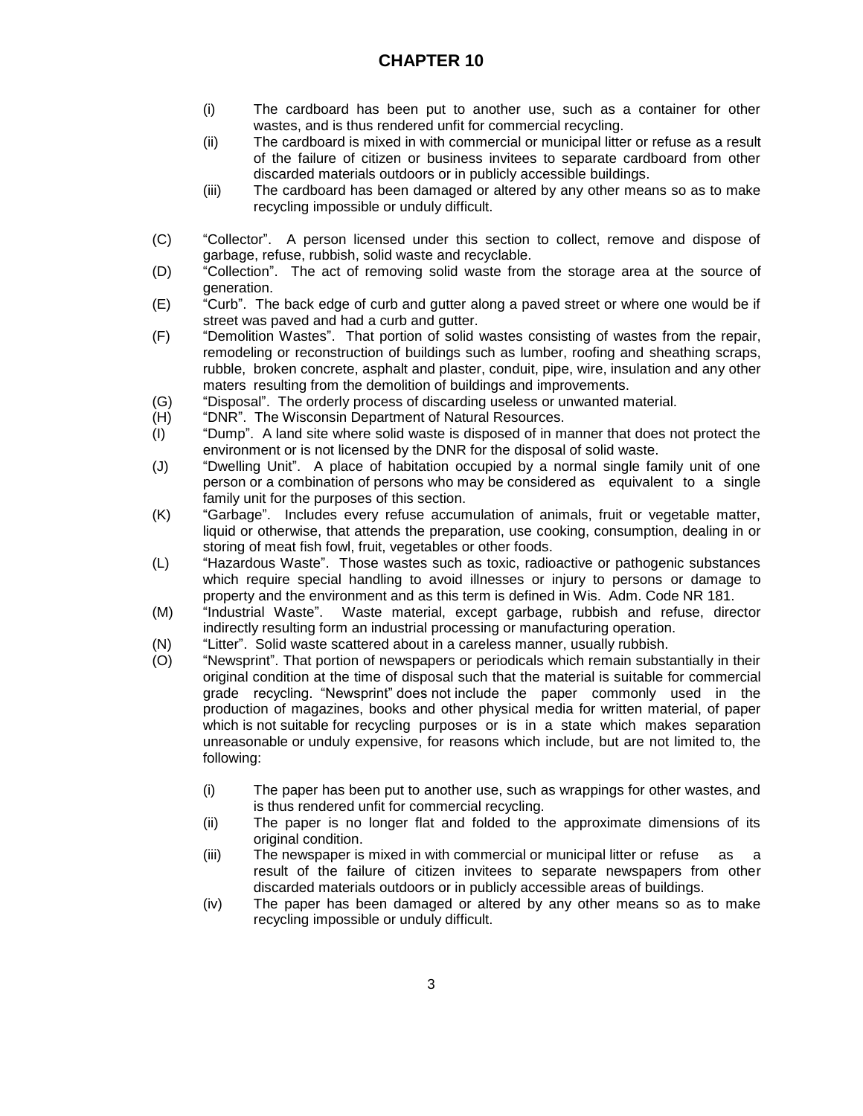- (i) The cardboard has been put to another use, such as a container for other wastes, and is thus rendered unfit for commercial recycling.
- (ii) The cardboard is mixed in with commercial or municipal litter or refuse as a result of the failure of citizen or business invitees to separate cardboard from other discarded materials outdoors or in publicly accessible buildings.
- (iii) The cardboard has been damaged or altered by any other means so as to make recycling impossible or unduly difficult.
- (C) "Collector". A person licensed under this section to collect, remove and dispose of garbage, refuse, rubbish, solid waste and recyclable.
- (D) "Collection". The act of removing solid waste from the storage area at the source of generation.
- (E) "Curb". The back edge of curb and gutter along a paved street or where one would be if street was paved and had a curb and gutter.
- (F) "Demolition Wastes". That portion of solid wastes consisting of wastes from the repair, remodeling or reconstruction of buildings such as lumber, roofing and sheathing scraps, rubble, broken concrete, asphalt and plaster, conduit, pipe, wire, insulation and any other maters resulting from the demolition of buildings and improvements.
- (G) "Disposal". The orderly process of discarding useless or unwanted material.
- (H) "DNR". The Wisconsin Department of Natural Resources.
- (I) "Dump". A land site where solid waste is disposed of in manner that does not protect the environment or is not licensed by the DNR for the disposal of solid waste.
- (J) "Dwelling Unit". A place of habitation occupied by a normal single family unit of one person or a combination of persons who may be considered as equivalent to a single family unit for the purposes of this section.
- (K) "Garbage". Includes every refuse accumulation of animals, fruit or vegetable matter, liquid or otherwise, that attends the preparation, use cooking, consumption, dealing in or storing of meat fish fowl, fruit, vegetables or other foods.
- (L) "Hazardous Waste". Those wastes such as toxic, radioactive or pathogenic substances which require special handling to avoid illnesses or injury to persons or damage to property and the environment and as this term is defined in Wis. Adm. Code NR 181.
- (M) "Industrial Waste". Waste material, except garbage, rubbish and refuse, director indirectly resulting form an industrial processing or manufacturing operation.
- (N) "Litter". Solid waste scattered about in a careless manner, usually rubbish.
- (O) "Newsprint". That portion of newspapers or periodicals which remain substantially in their original condition at the time of disposal such that the material is suitable for commercial grade recycling. "Newsprint" does not include the paper commonly used in the production of magazines, books and other physical media for written material, of paper which is not suitable for recycling purposes or is in a state which makes separation unreasonable or unduly expensive, for reasons which include, but are not limited to, the following:
	- (i) The paper has been put to another use, such as wrappings for other wastes, and is thus rendered unfit for commercial recycling.
	- (ii) The paper is no longer flat and folded to the approximate dimensions of its original condition.
	- (iii) The newspaper is mixed in with commercial or municipal litter or refuse as a result of the failure of citizen invitees to separate newspapers from other discarded materials outdoors or in publicly accessible areas of buildings.
	- (iv) The paper has been damaged or altered by any other means so as to make recycling impossible or unduly difficult.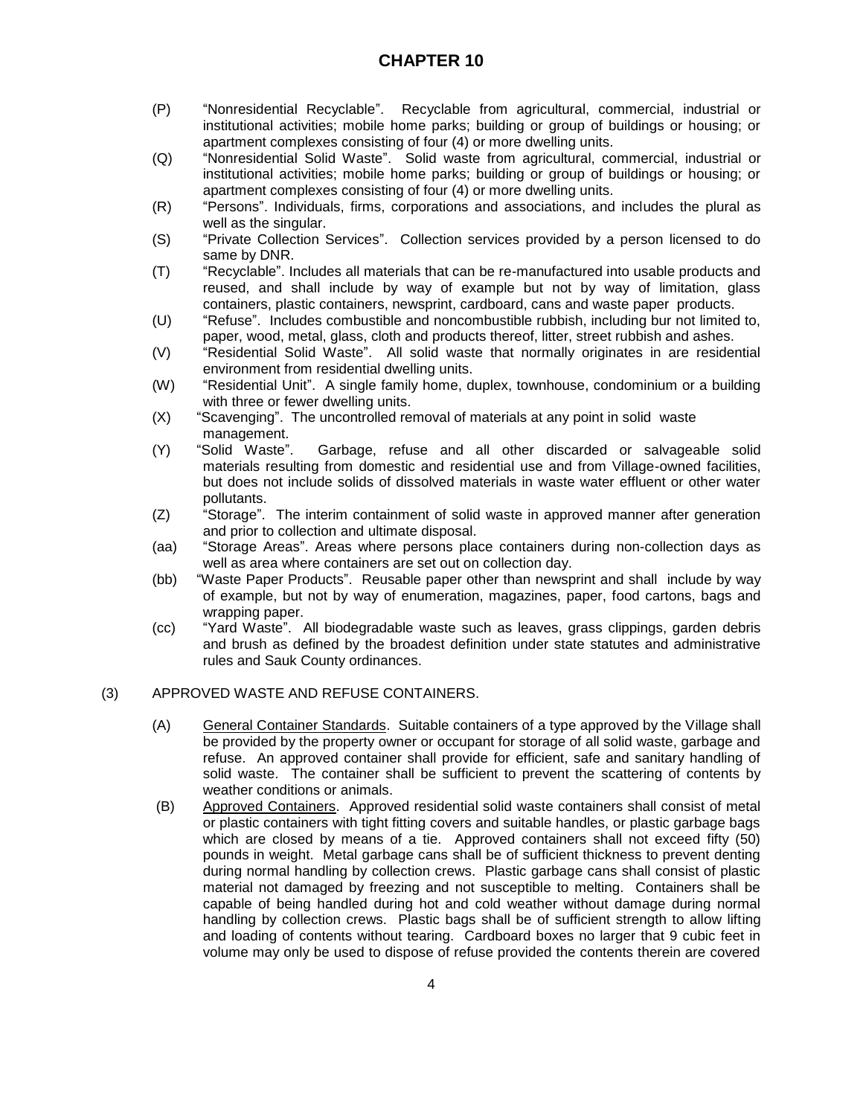- (P) "Nonresidential Recyclable". Recyclable from agricultural, commercial, industrial or institutional activities; mobile home parks; building or group of buildings or housing; or apartment complexes consisting of four (4) or more dwelling units.
- (Q) "Nonresidential Solid Waste". Solid waste from agricultural, commercial, industrial or institutional activities; mobile home parks; building or group of buildings or housing; or apartment complexes consisting of four (4) or more dwelling units.
- (R) "Persons". Individuals, firms, corporations and associations, and includes the plural as well as the singular.
- (S) "Private Collection Services". Collection services provided by a person licensed to do same by DNR.
- (T) "Recyclable". Includes all materials that can be re-manufactured into usable products and reused, and shall include by way of example but not by way of limitation, glass containers, plastic containers, newsprint, cardboard, cans and waste paper products.
- (U) "Refuse". Includes combustible and noncombustible rubbish, including bur not limited to, paper, wood, metal, glass, cloth and products thereof, litter, street rubbish and ashes.
- (V) "Residential Solid Waste". All solid waste that normally originates in are residential environment from residential dwelling units.
- (W) "Residential Unit". A single family home, duplex, townhouse, condominium or a building with three or fewer dwelling units.
- (X) "Scavenging". The uncontrolled removal of materials at any point in solid waste management.
- (Y) "Solid Waste". Garbage, refuse and all other discarded or salvageable solid materials resulting from domestic and residential use and from Village-owned facilities, but does not include solids of dissolved materials in waste water effluent or other water pollutants.
- (Z) "Storage". The interim containment of solid waste in approved manner after generation and prior to collection and ultimate disposal.
- (aa) "Storage Areas". Areas where persons place containers during non-collection days as well as area where containers are set out on collection day.
- (bb) "Waste Paper Products". Reusable paper other than newsprint and shall include by way of example, but not by way of enumeration, magazines, paper, food cartons, bags and wrapping paper.
- (cc) "Yard Waste". All biodegradable waste such as leaves, grass clippings, garden debris and brush as defined by the broadest definition under state statutes and administrative rules and Sauk County ordinances.

### (3) APPROVED WASTE AND REFUSE CONTAINERS.

- (A) General Container Standards. Suitable containers of a type approved by the Village shall be provided by the property owner or occupant for storage of all solid waste, garbage and refuse. An approved container shall provide for efficient, safe and sanitary handling of solid waste. The container shall be sufficient to prevent the scattering of contents by weather conditions or animals.
- (B) Approved Containers. Approved residential solid waste containers shall consist of metal or plastic containers with tight fitting covers and suitable handles, or plastic garbage bags which are closed by means of a tie. Approved containers shall not exceed fifty (50) pounds in weight. Metal garbage cans shall be of sufficient thickness to prevent denting during normal handling by collection crews. Plastic garbage cans shall consist of plastic material not damaged by freezing and not susceptible to melting. Containers shall be capable of being handled during hot and cold weather without damage during normal handling by collection crews. Plastic bags shall be of sufficient strength to allow lifting and loading of contents without tearing. Cardboard boxes no larger that 9 cubic feet in volume may only be used to dispose of refuse provided the contents therein are covered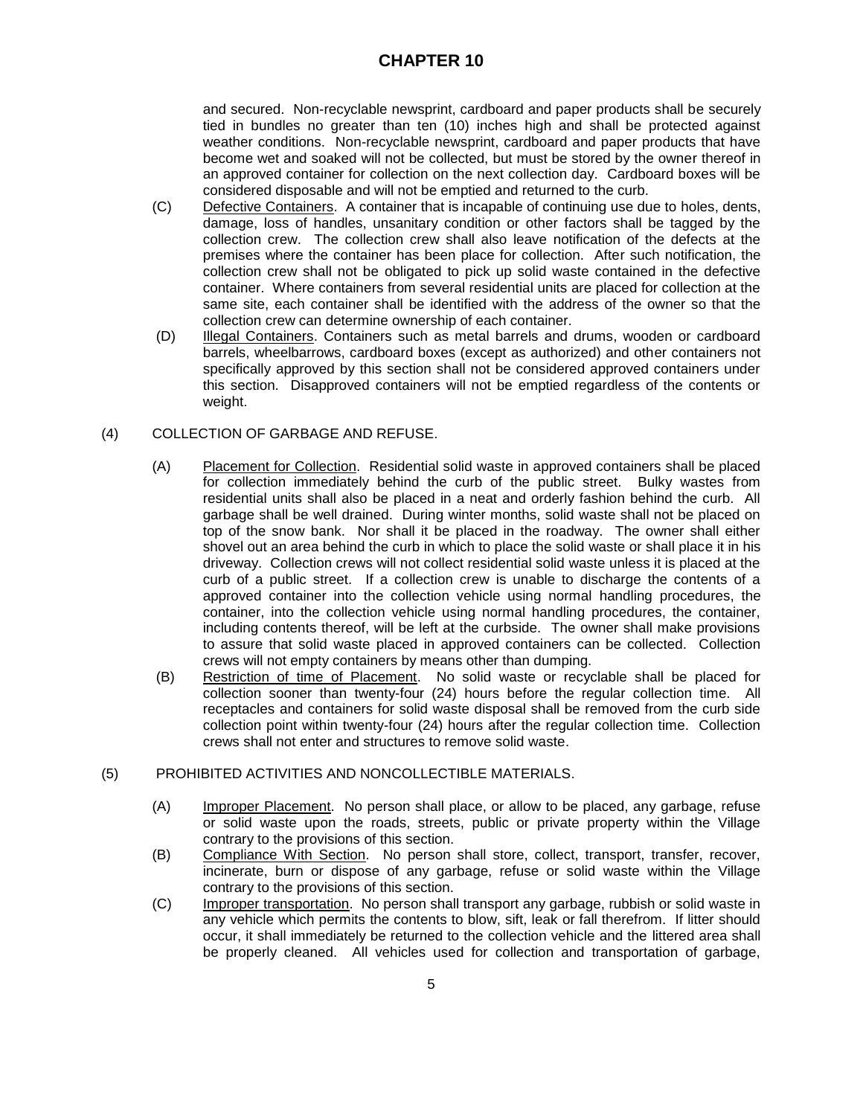and secured. Non-recyclable newsprint, cardboard and paper products shall be securely tied in bundles no greater than ten (10) inches high and shall be protected against weather conditions. Non-recyclable newsprint, cardboard and paper products that have become wet and soaked will not be collected, but must be stored by the owner thereof in an approved container for collection on the next collection day. Cardboard boxes will be considered disposable and will not be emptied and returned to the curb.

- (C) Defective Containers. A container that is incapable of continuing use due to holes, dents, damage, loss of handles, unsanitary condition or other factors shall be tagged by the collection crew. The collection crew shall also leave notification of the defects at the premises where the container has been place for collection. After such notification, the collection crew shall not be obligated to pick up solid waste contained in the defective container. Where containers from several residential units are placed for collection at the same site, each container shall be identified with the address of the owner so that the collection crew can determine ownership of each container.
- (D) Illegal Containers. Containers such as metal barrels and drums, wooden or cardboard barrels, wheelbarrows, cardboard boxes (except as authorized) and other containers not specifically approved by this section shall not be considered approved containers under this section. Disapproved containers will not be emptied regardless of the contents or weight.

## (4) COLLECTION OF GARBAGE AND REFUSE.

- (A) Placement for Collection. Residential solid waste in approved containers shall be placed for collection immediately behind the curb of the public street. Bulky wastes from residential units shall also be placed in a neat and orderly fashion behind the curb. All garbage shall be well drained. During winter months, solid waste shall not be placed on top of the snow bank. Nor shall it be placed in the roadway. The owner shall either shovel out an area behind the curb in which to place the solid waste or shall place it in his driveway. Collection crews will not collect residential solid waste unless it is placed at the curb of a public street. If a collection crew is unable to discharge the contents of a approved container into the collection vehicle using normal handling procedures, the container, into the collection vehicle using normal handling procedures, the container, including contents thereof, will be left at the curbside. The owner shall make provisions to assure that solid waste placed in approved containers can be collected. Collection crews will not empty containers by means other than dumping.
- (B) Restriction of time of Placement. No solid waste or recyclable shall be placed for collection sooner than twenty-four (24) hours before the regular collection time. All receptacles and containers for solid waste disposal shall be removed from the curb side collection point within twenty-four (24) hours after the regular collection time. Collection crews shall not enter and structures to remove solid waste.

### (5) PROHIBITED ACTIVITIES AND NONCOLLECTIBLE MATERIALS.

- (A) Improper Placement. No person shall place, or allow to be placed, any garbage, refuse or solid waste upon the roads, streets, public or private property within the Village contrary to the provisions of this section.
- (B) Compliance With Section. No person shall store, collect, transport, transfer, recover, incinerate, burn or dispose of any garbage, refuse or solid waste within the Village contrary to the provisions of this section.
- (C) Improper transportation. No person shall transport any garbage, rubbish or solid waste in any vehicle which permits the contents to blow, sift, leak or fall therefrom. If litter should occur, it shall immediately be returned to the collection vehicle and the littered area shall be properly cleaned. All vehicles used for collection and transportation of garbage,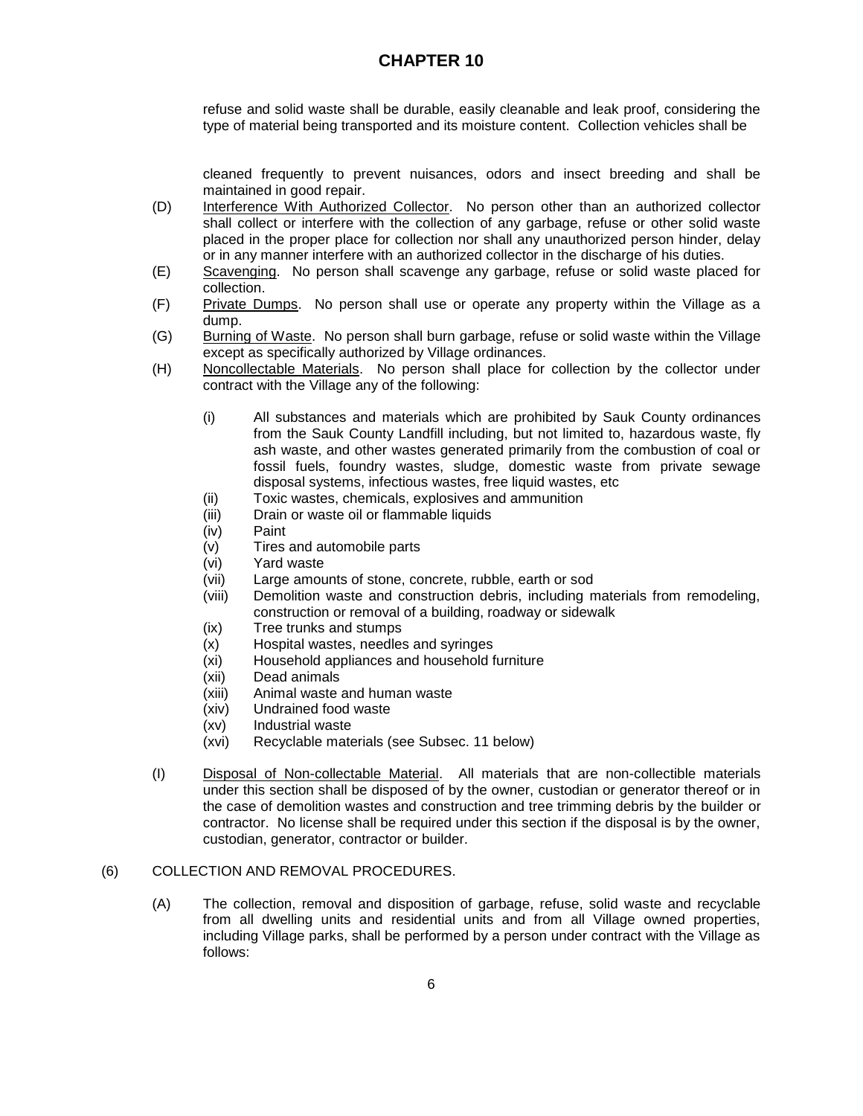refuse and solid waste shall be durable, easily cleanable and leak proof, considering the type of material being transported and its moisture content. Collection vehicles shall be

cleaned frequently to prevent nuisances, odors and insect breeding and shall be maintained in good repair.

- (D) Interference With Authorized Collector. No person other than an authorized collector shall collect or interfere with the collection of any garbage, refuse or other solid waste placed in the proper place for collection nor shall any unauthorized person hinder, delay or in any manner interfere with an authorized collector in the discharge of his duties.
- (E) Scavenging. No person shall scavenge any garbage, refuse or solid waste placed for collection.
- (F) Private Dumps. No person shall use or operate any property within the Village as a dump.
- (G) Burning of Waste. No person shall burn garbage, refuse or solid waste within the Village except as specifically authorized by Village ordinances.
- (H) Noncollectable Materials. No person shall place for collection by the collector under contract with the Village any of the following:
	- (i) All substances and materials which are prohibited by Sauk County ordinances from the Sauk County Landfill including, but not limited to, hazardous waste, fly ash waste, and other wastes generated primarily from the combustion of coal or fossil fuels, foundry wastes, sludge, domestic waste from private sewage disposal systems, infectious wastes, free liquid wastes, etc
	- (ii) Toxic wastes, chemicals, explosives and ammunition
	- (iii) Drain or waste oil or flammable liquids
	- (iv) Paint
	- (v) Tires and automobile parts
	- (vi) Yard waste
	- (vii) Large amounts of stone, concrete, rubble, earth or sod
	- (viii) Demolition waste and construction debris, including materials from remodeling, construction or removal of a building, roadway or sidewalk
	- (ix) Tree trunks and stumps
	- (x) Hospital wastes, needles and syringes
	- (xi) Household appliances and household furniture
	- (xii) Dead animals
	- (xiii) Animal waste and human waste
	- (xiv) Undrained food waste
	- (xv) Industrial waste
	- (xvi) Recyclable materials (see Subsec. 11 below)
- (I) Disposal of Non-collectable Material. All materials that are non-collectible materials under this section shall be disposed of by the owner, custodian or generator thereof or in the case of demolition wastes and construction and tree trimming debris by the builder or contractor. No license shall be required under this section if the disposal is by the owner, custodian, generator, contractor or builder.

### (6) COLLECTION AND REMOVAL PROCEDURES.

(A) The collection, removal and disposition of garbage, refuse, solid waste and recyclable from all dwelling units and residential units and from all Village owned properties, including Village parks, shall be performed by a person under contract with the Village as follows: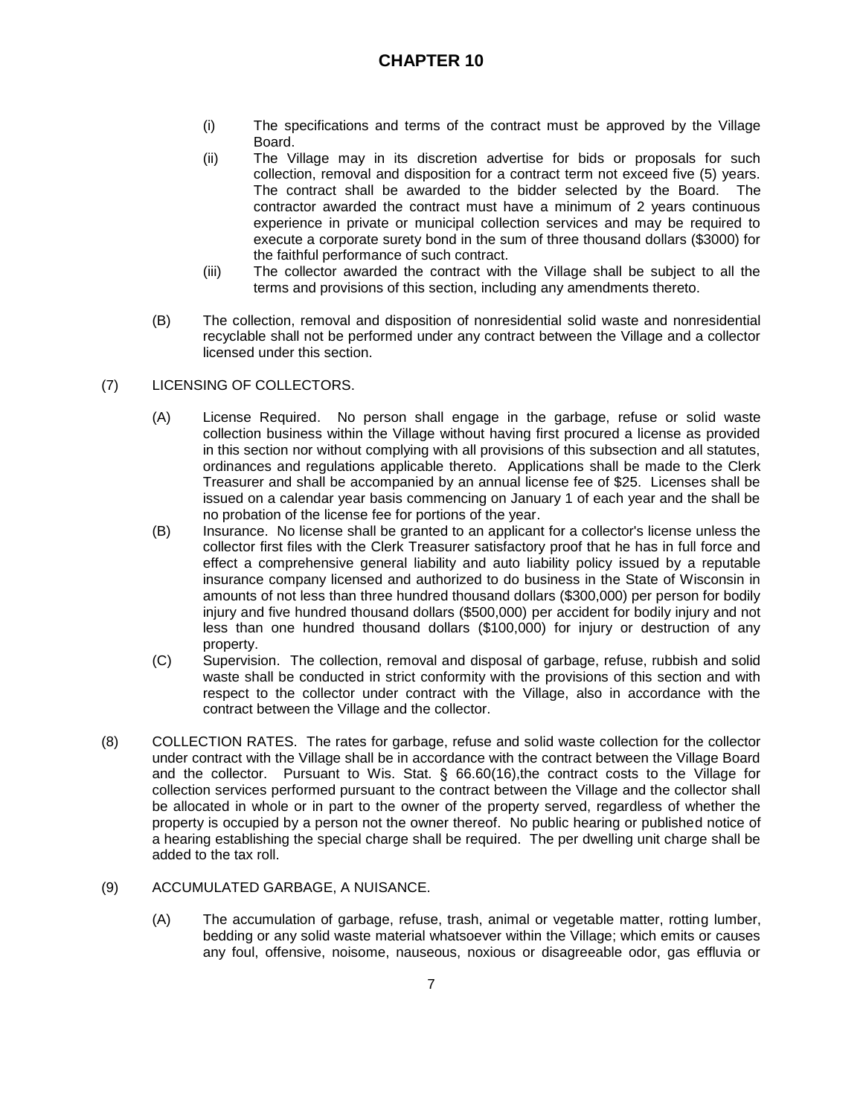- (i) The specifications and terms of the contract must be approved by the Village Board.
- (ii) The Village may in its discretion advertise for bids or proposals for such collection, removal and disposition for a contract term not exceed five (5) years. The contract shall be awarded to the bidder selected by the Board. The contractor awarded the contract must have a minimum of 2 years continuous experience in private or municipal collection services and may be required to execute a corporate surety bond in the sum of three thousand dollars (\$3000) for the faithful performance of such contract.
- (iii) The collector awarded the contract with the Village shall be subject to all the terms and provisions of this section, including any amendments thereto.
- (B) The collection, removal and disposition of nonresidential solid waste and nonresidential recyclable shall not be performed under any contract between the Village and a collector licensed under this section.
- (7) LICENSING OF COLLECTORS.
	- (A) License Required. No person shall engage in the garbage, refuse or solid waste collection business within the Village without having first procured a license as provided in this section nor without complying with all provisions of this subsection and all statutes, ordinances and regulations applicable thereto. Applications shall be made to the Clerk Treasurer and shall be accompanied by an annual license fee of \$25. Licenses shall be issued on a calendar year basis commencing on January 1 of each year and the shall be no probation of the license fee for portions of the year.
	- (B) Insurance. No license shall be granted to an applicant for a collector's license unless the collector first files with the Clerk Treasurer satisfactory proof that he has in full force and effect a comprehensive general liability and auto liability policy issued by a reputable insurance company licensed and authorized to do business in the State of Wisconsin in amounts of not less than three hundred thousand dollars (\$300,000) per person for bodily injury and five hundred thousand dollars (\$500,000) per accident for bodily injury and not less than one hundred thousand dollars (\$100,000) for injury or destruction of any property.
	- (C) Supervision. The collection, removal and disposal of garbage, refuse, rubbish and solid waste shall be conducted in strict conformity with the provisions of this section and with respect to the collector under contract with the Village, also in accordance with the contract between the Village and the collector.
- (8) COLLECTION RATES. The rates for garbage, refuse and solid waste collection for the collector under contract with the Village shall be in accordance with the contract between the Village Board and the collector. Pursuant to Wis. Stat. § 66.60(16),the contract costs to the Village for collection services performed pursuant to the contract between the Village and the collector shall be allocated in whole or in part to the owner of the property served, regardless of whether the property is occupied by a person not the owner thereof. No public hearing or published notice of a hearing establishing the special charge shall be required. The per dwelling unit charge shall be added to the tax roll.
- (9) ACCUMULATED GARBAGE, A NUISANCE.
	- (A) The accumulation of garbage, refuse, trash, animal or vegetable matter, rotting lumber, bedding or any solid waste material whatsoever within the Village; which emits or causes any foul, offensive, noisome, nauseous, noxious or disagreeable odor, gas effluvia or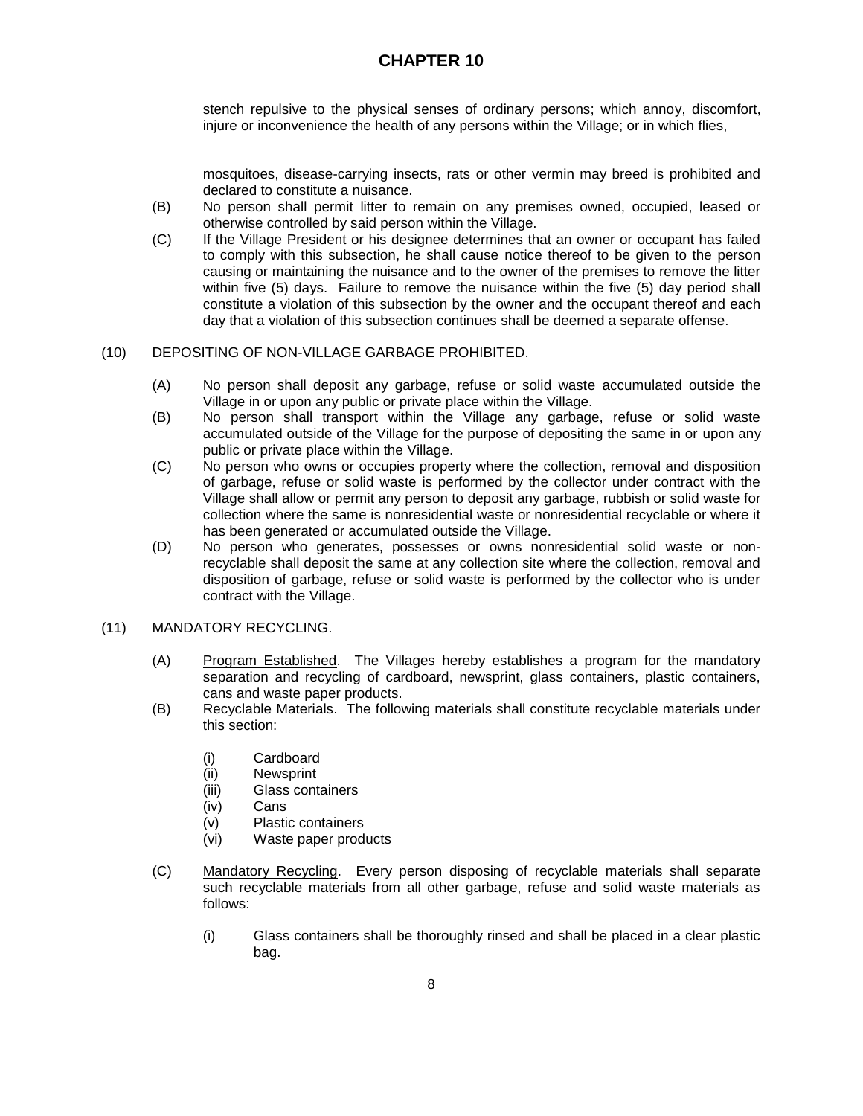stench repulsive to the physical senses of ordinary persons; which annoy, discomfort, injure or inconvenience the health of any persons within the Village; or in which flies,

mosquitoes, disease-carrying insects, rats or other vermin may breed is prohibited and declared to constitute a nuisance.

- (B) No person shall permit litter to remain on any premises owned, occupied, leased or otherwise controlled by said person within the Village.
- (C) If the Village President or his designee determines that an owner or occupant has failed to comply with this subsection, he shall cause notice thereof to be given to the person causing or maintaining the nuisance and to the owner of the premises to remove the litter within five (5) days. Failure to remove the nuisance within the five (5) day period shall constitute a violation of this subsection by the owner and the occupant thereof and each day that a violation of this subsection continues shall be deemed a separate offense.

#### (10) DEPOSITING OF NON-VILLAGE GARBAGE PROHIBITED.

- (A) No person shall deposit any garbage, refuse or solid waste accumulated outside the Village in or upon any public or private place within the Village.
- (B) No person shall transport within the Village any garbage, refuse or solid waste accumulated outside of the Village for the purpose of depositing the same in or upon any public or private place within the Village.
- (C) No person who owns or occupies property where the collection, removal and disposition of garbage, refuse or solid waste is performed by the collector under contract with the Village shall allow or permit any person to deposit any garbage, rubbish or solid waste for collection where the same is nonresidential waste or nonresidential recyclable or where it has been generated or accumulated outside the Village.
- (D) No person who generates, possesses or owns nonresidential solid waste or nonrecyclable shall deposit the same at any collection site where the collection, removal and disposition of garbage, refuse or solid waste is performed by the collector who is under contract with the Village.

#### (11) MANDATORY RECYCLING.

- (A) Program Established. The Villages hereby establishes a program for the mandatory separation and recycling of cardboard, newsprint, glass containers, plastic containers, cans and waste paper products.
- (B) Recyclable Materials. The following materials shall constitute recyclable materials under this section:
	- (i) Cardboard
	- (ii) Newsprint
	- (iii) Glass containers
	- (iv) Cans
	- (v) Plastic containers
	- (vi) Waste paper products
- (C) Mandatory Recycling. Every person disposing of recyclable materials shall separate such recyclable materials from all other garbage, refuse and solid waste materials as follows:
	- (i) Glass containers shall be thoroughly rinsed and shall be placed in a clear plastic bag.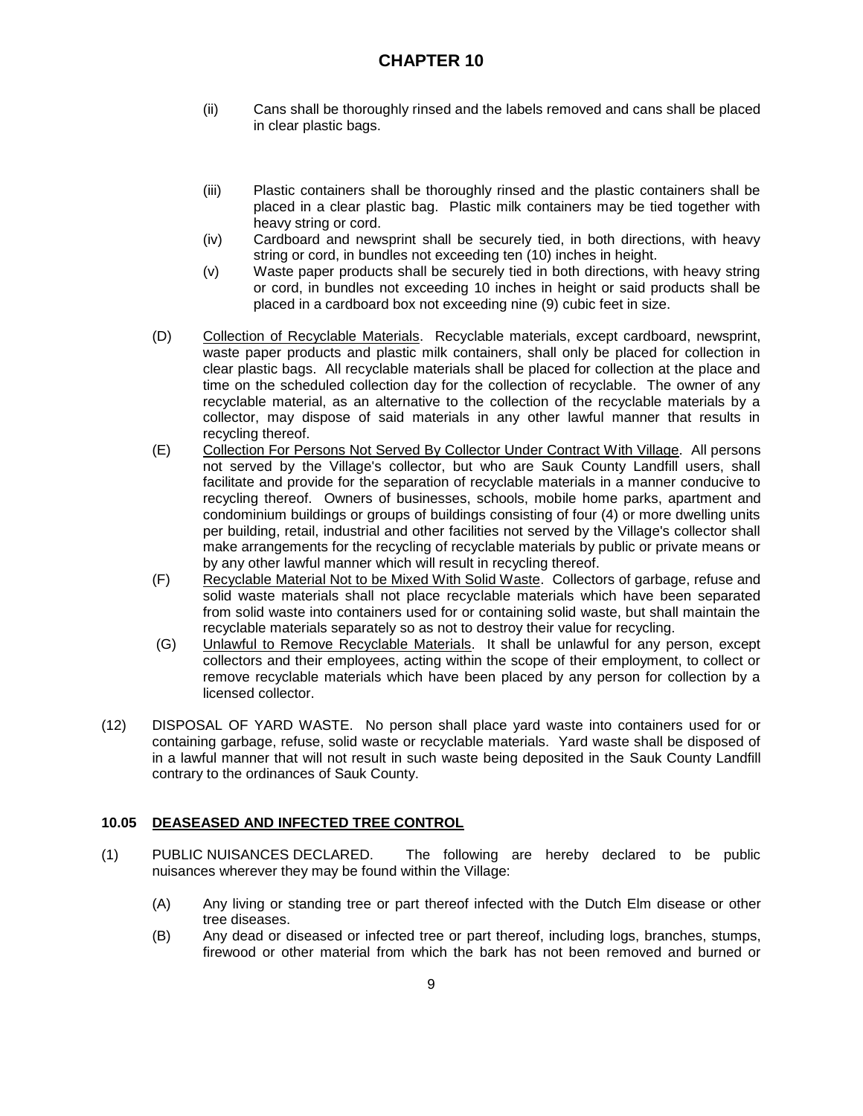- (ii) Cans shall be thoroughly rinsed and the labels removed and cans shall be placed in clear plastic bags.
- (iii) Plastic containers shall be thoroughly rinsed and the plastic containers shall be placed in a clear plastic bag. Plastic milk containers may be tied together with heavy string or cord.
- (iv) Cardboard and newsprint shall be securely tied, in both directions, with heavy string or cord, in bundles not exceeding ten (10) inches in height.
- (v) Waste paper products shall be securely tied in both directions, with heavy string or cord, in bundles not exceeding 10 inches in height or said products shall be placed in a cardboard box not exceeding nine (9) cubic feet in size.
- (D) Collection of Recyclable Materials. Recyclable materials, except cardboard, newsprint, waste paper products and plastic milk containers, shall only be placed for collection in clear plastic bags. All recyclable materials shall be placed for collection at the place and time on the scheduled collection day for the collection of recyclable. The owner of any recyclable material, as an alternative to the collection of the recyclable materials by a collector, may dispose of said materials in any other lawful manner that results in recycling thereof.
- (E) Collection For Persons Not Served By Collector Under Contract With Village. All persons not served by the Village's collector, but who are Sauk County Landfill users, shall facilitate and provide for the separation of recyclable materials in a manner conducive to recycling thereof. Owners of businesses, schools, mobile home parks, apartment and condominium buildings or groups of buildings consisting of four (4) or more dwelling units per building, retail, industrial and other facilities not served by the Village's collector shall make arrangements for the recycling of recyclable materials by public or private means or by any other lawful manner which will result in recycling thereof.
- (F) Recyclable Material Not to be Mixed With Solid Waste. Collectors of garbage, refuse and solid waste materials shall not place recyclable materials which have been separated from solid waste into containers used for or containing solid waste, but shall maintain the recyclable materials separately so as not to destroy their value for recycling.
- (G) Unlawful to Remove Recyclable Materials. It shall be unlawful for any person, except collectors and their employees, acting within the scope of their employment, to collect or remove recyclable materials which have been placed by any person for collection by a licensed collector.
- (12) DISPOSAL OF YARD WASTE. No person shall place yard waste into containers used for or containing garbage, refuse, solid waste or recyclable materials. Yard waste shall be disposed of in a lawful manner that will not result in such waste being deposited in the Sauk County Landfill contrary to the ordinances of Sauk County.

## **10.05 DEASEASED AND INFECTED TREE CONTROL**

- (1) PUBLIC NUISANCES DECLARED. The following are hereby declared to be public nuisances wherever they may be found within the Village:
	- (A) Any living or standing tree or part thereof infected with the Dutch Elm disease or other tree diseases.
	- (B) Any dead or diseased or infected tree or part thereof, including logs, branches, stumps, firewood or other material from which the bark has not been removed and burned or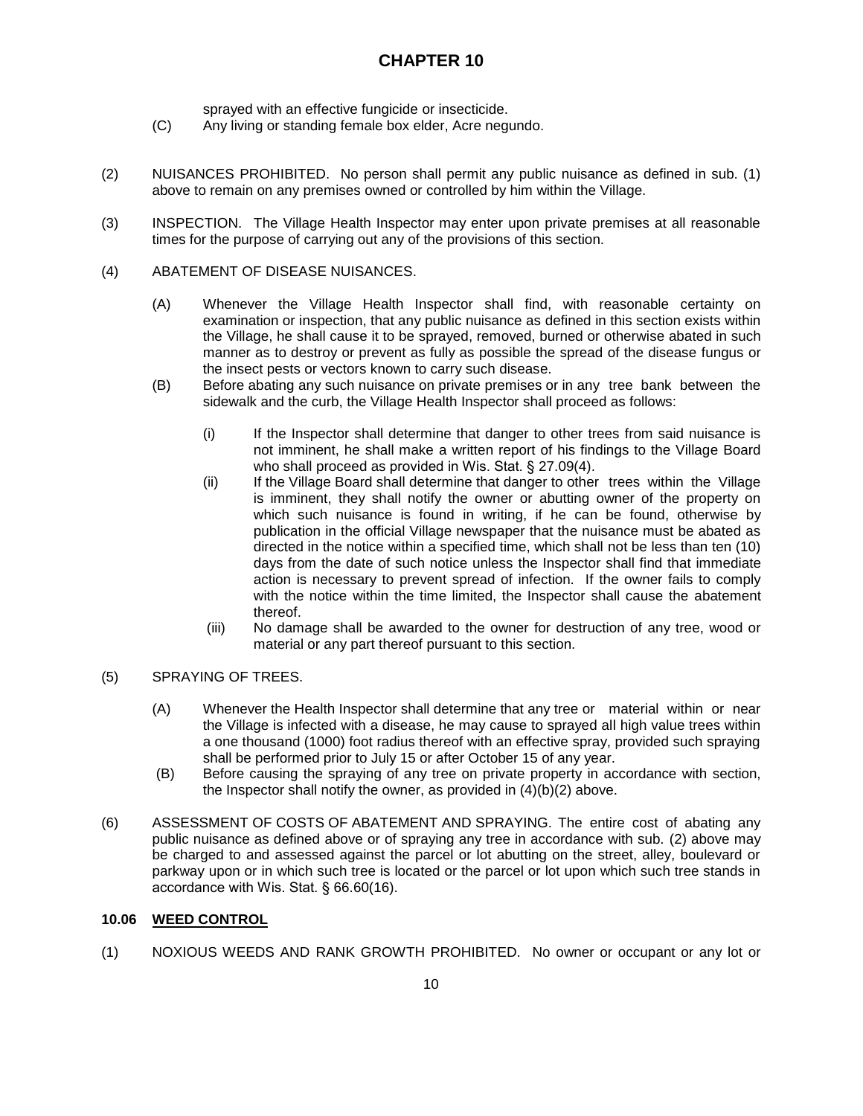sprayed with an effective fungicide or insecticide.

- (C) Any living or standing female box elder, Acre negundo.
- (2) NUISANCES PROHIBITED. No person shall permit any public nuisance as defined in sub. (1) above to remain on any premises owned or controlled by him within the Village.
- (3) INSPECTION. The Village Health Inspector may enter upon private premises at all reasonable times for the purpose of carrying out any of the provisions of this section.

### (4) ABATEMENT OF DISEASE NUISANCES.

- (A) Whenever the Village Health Inspector shall find, with reasonable certainty on examination or inspection, that any public nuisance as defined in this section exists within the Village, he shall cause it to be sprayed, removed, burned or otherwise abated in such manner as to destroy or prevent as fully as possible the spread of the disease fungus or the insect pests or vectors known to carry such disease.
- (B) Before abating any such nuisance on private premises or in any tree bank between the sidewalk and the curb, the Village Health Inspector shall proceed as follows:
	- (i) If the Inspector shall determine that danger to other trees from said nuisance is not imminent, he shall make a written report of his findings to the Village Board who shall proceed as provided in Wis. Stat. § 27.09(4).
	- (ii) If the Village Board shall determine that danger to other trees within the Village is imminent, they shall notify the owner or abutting owner of the property on which such nuisance is found in writing, if he can be found, otherwise by publication in the official Village newspaper that the nuisance must be abated as directed in the notice within a specified time, which shall not be less than ten (10) days from the date of such notice unless the Inspector shall find that immediate action is necessary to prevent spread of infection. If the owner fails to comply with the notice within the time limited, the Inspector shall cause the abatement thereof.
	- (iii) No damage shall be awarded to the owner for destruction of any tree, wood or material or any part thereof pursuant to this section.

## (5) SPRAYING OF TREES.

- (A) Whenever the Health Inspector shall determine that any tree or material within or near the Village is infected with a disease, he may cause to sprayed all high value trees within a one thousand (1000) foot radius thereof with an effective spray, provided such spraying shall be performed prior to July 15 or after October 15 of any year.
- (B) Before causing the spraying of any tree on private property in accordance with section, the Inspector shall notify the owner, as provided in (4)(b)(2) above.
- (6) ASSESSMENT OF COSTS OF ABATEMENT AND SPRAYING. The entire cost of abating any public nuisance as defined above or of spraying any tree in accordance with sub. (2) above may be charged to and assessed against the parcel or lot abutting on the street, alley, boulevard or parkway upon or in which such tree is located or the parcel or lot upon which such tree stands in accordance with Wis. Stat. § 66.60(16).

### **10.06 WEED CONTROL**

(1) NOXIOUS WEEDS AND RANK GROWTH PROHIBITED. No owner or occupant or any lot or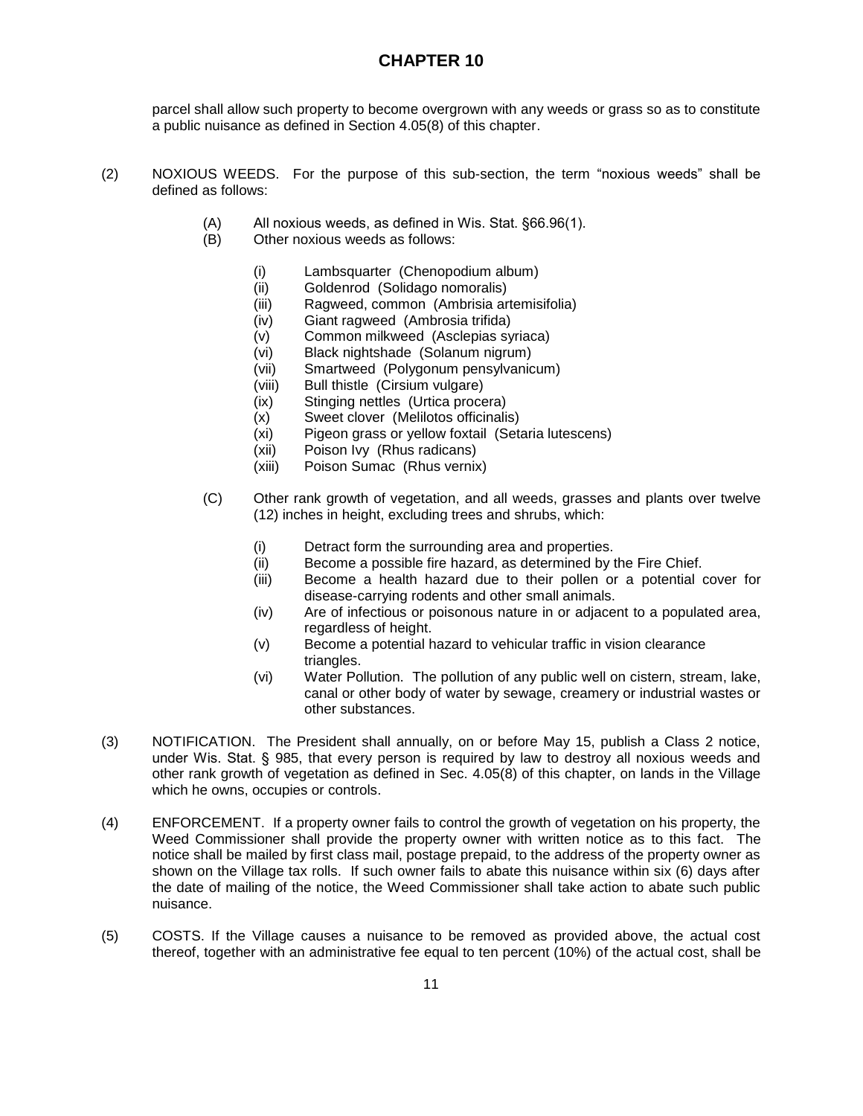parcel shall allow such property to become overgrown with any weeds or grass so as to constitute a public nuisance as defined in Section 4.05(8) of this chapter.

- (2) NOXIOUS WEEDS. For the purpose of this sub-section, the term "noxious weeds" shall be defined as follows:
	- (A) All noxious weeds, as defined in Wis. Stat. §66.96(1).
	- (B) Other noxious weeds as follows:
		- (i) Lambsquarter (Chenopodium album)
		- (ii) Goldenrod (Solidago nomoralis)
		- (iii) Ragweed, common (Ambrisia artemisifolia)
		- (iv) Giant ragweed (Ambrosia trifida)
		- (v) Common milkweed (Asclepias syriaca)
		- (vi) Black nightshade (Solanum nigrum)
		- (vii) Smartweed (Polygonum pensylvanicum)
		- (viii) Bull thistle (Cirsium vulgare)
		- (ix) Stinging nettles (Urtica procera)
		- (x) Sweet clover (Melilotos officinalis)
		- (xi) Pigeon grass or yellow foxtail (Setaria lutescens)
		- (xii) Poison Ivy (Rhus radicans)
		- (xiii) Poison Sumac (Rhus vernix)
	- (C) Other rank growth of vegetation, and all weeds, grasses and plants over twelve (12) inches in height, excluding trees and shrubs, which:
		- (i) Detract form the surrounding area and properties.
		- (ii) Become a possible fire hazard, as determined by the Fire Chief.
		- (iii) Become a health hazard due to their pollen or a potential cover for disease-carrying rodents and other small animals.
		- (iv) Are of infectious or poisonous nature in or adjacent to a populated area, regardless of height.
		- (v) Become a potential hazard to vehicular traffic in vision clearance triangles.
		- (vi) Water Pollution. The pollution of any public well on cistern, stream, lake, canal or other body of water by sewage, creamery or industrial wastes or other substances.
- (3) NOTIFICATION. The President shall annually, on or before May 15, publish a Class 2 notice, under Wis. Stat. § 985, that every person is required by law to destroy all noxious weeds and other rank growth of vegetation as defined in Sec. 4.05(8) of this chapter, on lands in the Village which he owns, occupies or controls.
- (4) ENFORCEMENT. If a property owner fails to control the growth of vegetation on his property, the Weed Commissioner shall provide the property owner with written notice as to this fact. The notice shall be mailed by first class mail, postage prepaid, to the address of the property owner as shown on the Village tax rolls. If such owner fails to abate this nuisance within six (6) days after the date of mailing of the notice, the Weed Commissioner shall take action to abate such public nuisance.
- (5) COSTS. If the Village causes a nuisance to be removed as provided above, the actual cost thereof, together with an administrative fee equal to ten percent (10%) of the actual cost, shall be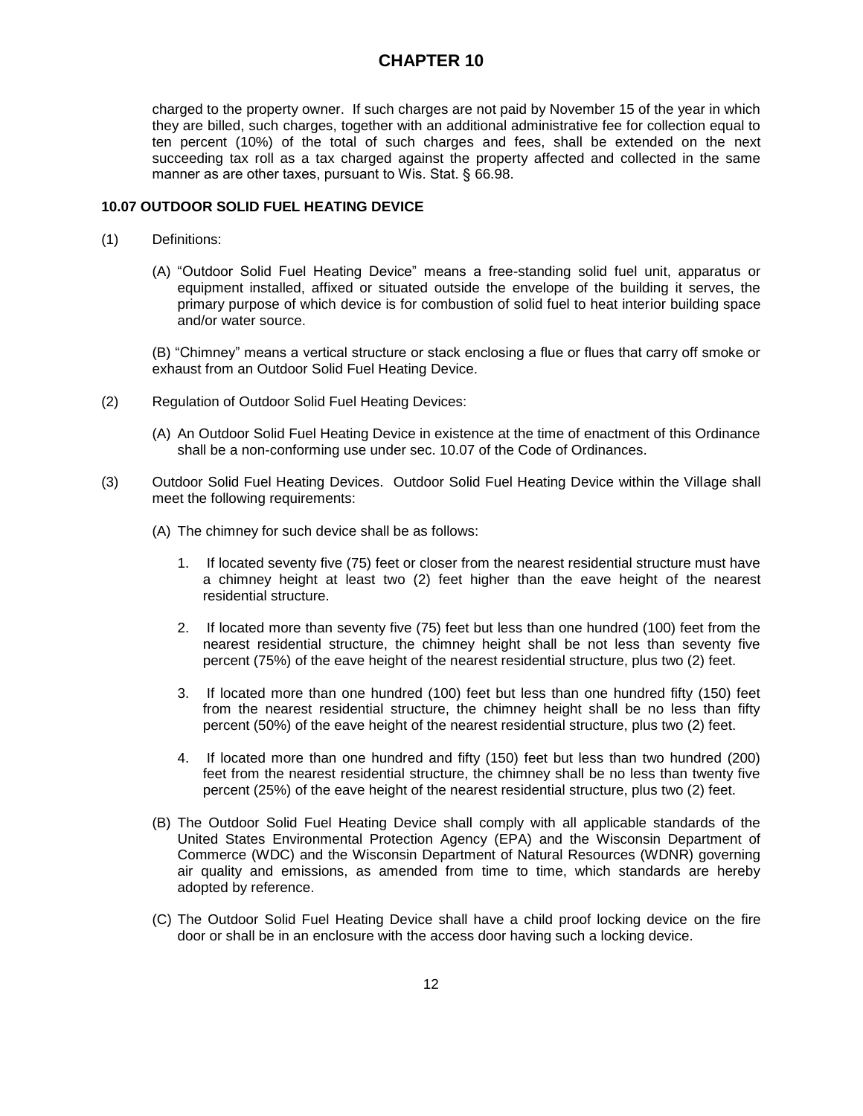charged to the property owner. If such charges are not paid by November 15 of the year in which they are billed, such charges, together with an additional administrative fee for collection equal to ten percent (10%) of the total of such charges and fees, shall be extended on the next succeeding tax roll as a tax charged against the property affected and collected in the same manner as are other taxes, pursuant to Wis. Stat. § 66.98.

#### **10.07 OUTDOOR SOLID FUEL HEATING DEVICE**

- (1) Definitions:
	- (A) "Outdoor Solid Fuel Heating Device" means a free-standing solid fuel unit, apparatus or equipment installed, affixed or situated outside the envelope of the building it serves, the primary purpose of which device is for combustion of solid fuel to heat interior building space and/or water source.

(B) "Chimney" means a vertical structure or stack enclosing a flue or flues that carry off smoke or exhaust from an Outdoor Solid Fuel Heating Device.

- (2) Regulation of Outdoor Solid Fuel Heating Devices:
	- (A) An Outdoor Solid Fuel Heating Device in existence at the time of enactment of this Ordinance shall be a non-conforming use under sec. 10.07 of the Code of Ordinances.
- (3) Outdoor Solid Fuel Heating Devices. Outdoor Solid Fuel Heating Device within the Village shall meet the following requirements:
	- (A) The chimney for such device shall be as follows:
		- 1. If located seventy five (75) feet or closer from the nearest residential structure must have a chimney height at least two (2) feet higher than the eave height of the nearest residential structure.
		- 2. If located more than seventy five (75) feet but less than one hundred (100) feet from the nearest residential structure, the chimney height shall be not less than seventy five percent (75%) of the eave height of the nearest residential structure, plus two (2) feet.
		- 3. If located more than one hundred (100) feet but less than one hundred fifty (150) feet from the nearest residential structure, the chimney height shall be no less than fifty percent (50%) of the eave height of the nearest residential structure, plus two (2) feet.
		- 4. If located more than one hundred and fifty (150) feet but less than two hundred (200) feet from the nearest residential structure, the chimney shall be no less than twenty five percent (25%) of the eave height of the nearest residential structure, plus two (2) feet.
	- (B) The Outdoor Solid Fuel Heating Device shall comply with all applicable standards of the United States Environmental Protection Agency (EPA) and the Wisconsin Department of Commerce (WDC) and the Wisconsin Department of Natural Resources (WDNR) governing air quality and emissions, as amended from time to time, which standards are hereby adopted by reference.
	- (C) The Outdoor Solid Fuel Heating Device shall have a child proof locking device on the fire door or shall be in an enclosure with the access door having such a locking device.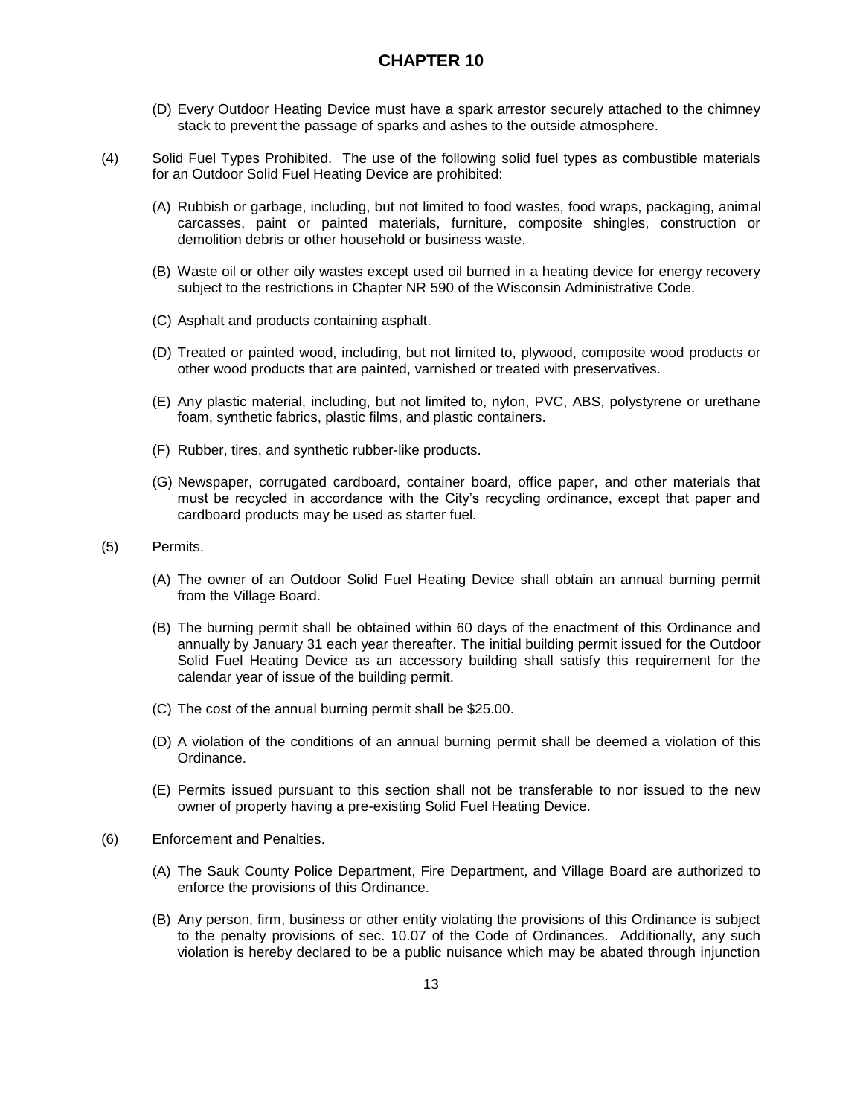- (D) Every Outdoor Heating Device must have a spark arrestor securely attached to the chimney stack to prevent the passage of sparks and ashes to the outside atmosphere.
- (4) Solid Fuel Types Prohibited. The use of the following solid fuel types as combustible materials for an Outdoor Solid Fuel Heating Device are prohibited:
	- (A) Rubbish or garbage, including, but not limited to food wastes, food wraps, packaging, animal carcasses, paint or painted materials, furniture, composite shingles, construction or demolition debris or other household or business waste.
	- (B) Waste oil or other oily wastes except used oil burned in a heating device for energy recovery subject to the restrictions in Chapter NR 590 of the Wisconsin Administrative Code.
	- (C) Asphalt and products containing asphalt.
	- (D) Treated or painted wood, including, but not limited to, plywood, composite wood products or other wood products that are painted, varnished or treated with preservatives.
	- (E) Any plastic material, including, but not limited to, nylon, PVC, ABS, polystyrene or urethane foam, synthetic fabrics, plastic films, and plastic containers.
	- (F) Rubber, tires, and synthetic rubber-like products.
	- (G) Newspaper, corrugated cardboard, container board, office paper, and other materials that must be recycled in accordance with the City's recycling ordinance, except that paper and cardboard products may be used as starter fuel.
- (5) Permits.
	- (A) The owner of an Outdoor Solid Fuel Heating Device shall obtain an annual burning permit from the Village Board.
	- (B) The burning permit shall be obtained within 60 days of the enactment of this Ordinance and annually by January 31 each year thereafter. The initial building permit issued for the Outdoor Solid Fuel Heating Device as an accessory building shall satisfy this requirement for the calendar year of issue of the building permit.
	- (C) The cost of the annual burning permit shall be \$25.00.
	- (D) A violation of the conditions of an annual burning permit shall be deemed a violation of this Ordinance.
	- (E) Permits issued pursuant to this section shall not be transferable to nor issued to the new owner of property having a pre-existing Solid Fuel Heating Device.
- (6) Enforcement and Penalties.
	- (A) The Sauk County Police Department, Fire Department, and Village Board are authorized to enforce the provisions of this Ordinance.
	- (B) Any person, firm, business or other entity violating the provisions of this Ordinance is subject to the penalty provisions of sec. 10.07 of the Code of Ordinances. Additionally, any such violation is hereby declared to be a public nuisance which may be abated through injunction